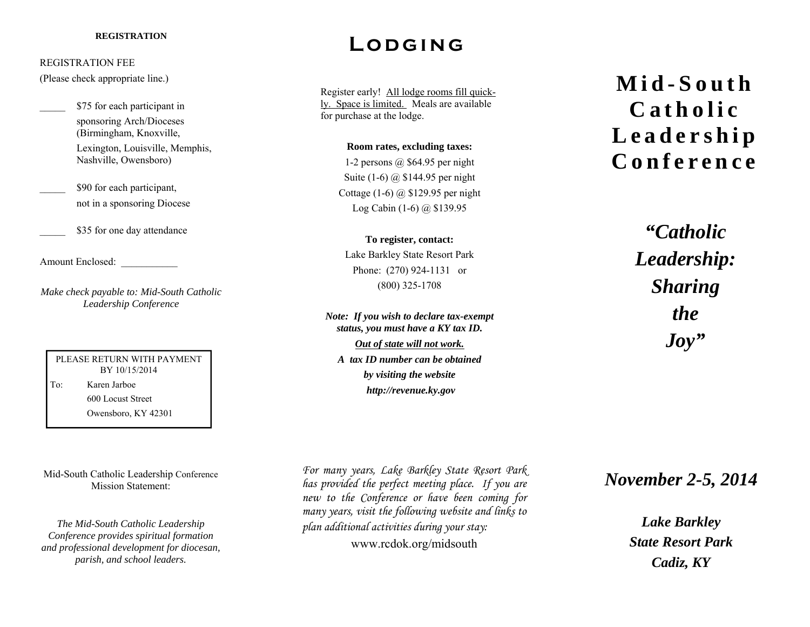## REGISTRATION FEE

(Please check appropriate line.)

\$75 for each participant in sponsoring Arch/Dioceses (Birmingham, Knoxville, Lexington, Louisville, Memphis, Nashville, Owensboro)

\$90 for each participant, not in a sponsoring Diocese

\$35 for one day attendance

Amount Enclosed: \_\_\_\_\_\_\_\_\_\_\_

*Make check payable to: Mid-South Catholic Leadership Conference* 

PLEASE RETURN WITH PAYMENT BY 10/15/2014 To: Karen Jarboe 600 Locust Street Owensboro, KY 42301

Mid-South Catholic Leadership Conference Mission Statement:

*The Mid-South Catholic Leadership Conference provides spiritual formation and professional development for diocesan, parish, and school leaders.* 

## REGISTRATION **LODGING**

Register early! All lodge rooms fill quickly. Space is limited. Meals are available for purchase at the lodge.

> **Room rates, excluding taxes:**  1-2 persons @ \$64.95 per night Suite (1-6) @ \$144.95 per night Cottage  $(1-6)$  @ \$129.95 per night Log Cabin (1-6) @ \$139.95

**To register, contact:**  Lake Barkley State Resort Park Phone: (270) 924-1131 or (800) 325-1708

*Note: If you wish to declare tax-exempt status, you must have a KY tax ID. Out of state will not work. A tax ID number can be obtained by visiting the website http://revenue.ky.gov* 

**Mid-South Catholic Leadership Conference** 

> *"Catholic Leadership: Sharing the Joy"*

*For many years, Lake Barkley State Resort Park has provided the perfect meeting place. If you are new to the Conference or have been coming for many years, visit the following website and links to <sup>p</sup>lan additional activities during your stay:*  www.rcdok.org/midsouth

*November 2-5, 2014* 

*Lake Barkley State Resort Park Cadiz, KY*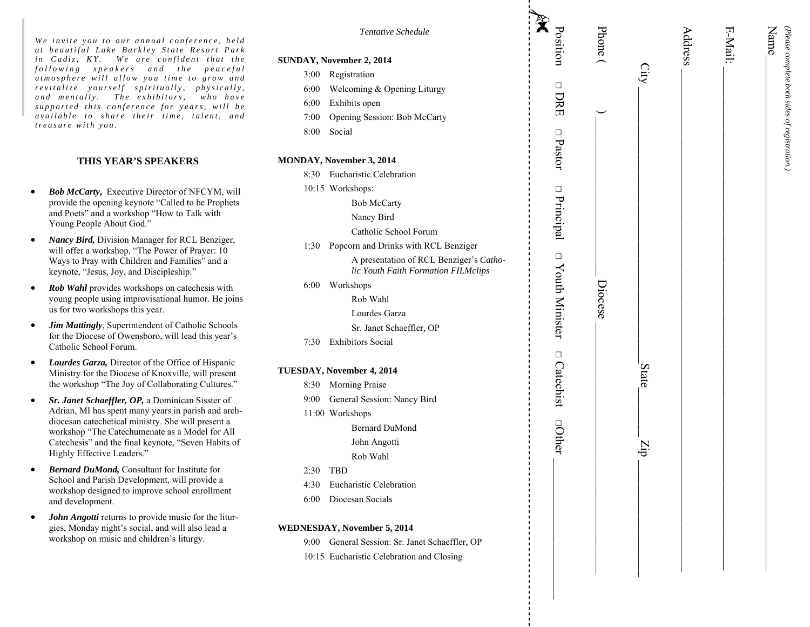*We invite you to our annual conference, held*  at beautiful Lake Barkley State Resort Park *in Cadiz, KY. We are confident that the following speakers and the peaceful atmosphere will allow you time to grow and revitalize yourself spiritually, physically,*  and mentally. The exhibitors, who have *supported this conference for years, will be available to share their time, talent, and treasure with you.* 

## **THIS YEAR'S SPEAKERS**

- $\bullet$  *Bob McCarty***,** Executive Director of NFCYM, will provide the opening keynote "Called to be Prophets and Poets" and a workshop "How to Talk with Young People About God."
- $\bullet$  *Nancy Bird,* Division Manager for RCL Benziger, will offer a workshop, "The Power of Prayer: 10 Ways to Pray with Children and Families" and a keynote, "Jesus, Joy, and Discipleship."
- $\bullet$  *Rob Wahl* provides workshops on catechesis with young people using improvisational humor. He joins us for two workshops this year.
- $\bullet$  *Jim Mattingly*, Superintendent of Catholic Schools for the Diocese of Owensboro, will lead this year's Catholic School Forum.
- $\bullet$  *Lourdes Garza,* Director of the Office of Hispanic Ministry for the Diocese of Knoxville, will present the workshop "The Joy of Collaborating Cultures."
- $\bullet$  *Sr. Janet Schaeffler, OP,* a Dominican Sisster of Adrian, MI has spent many years in parish and archdiocesan catechetical ministry. She will present a workshop "The Catechumenate as a Model for All Catechesis" and the final keynote, "Seven Habits of Highly Effective Leaders."
- $\bullet$  *Bernard DuMond,* Consultant for Institute for School and Parish Development, will provide a workshop designed to improve school enrollment and development.
- $\bullet$  *John Angotti* returns to provide music for the liturgies, Monday night's social, and will also lead a workshop on music and children's liturgy.

| Tentative Schedule                                                             | $\ddot{\mathbf{x}}$<br>Position | Phone ( |              | Address | E-Mail: | Name <sub>-</sub> |
|--------------------------------------------------------------------------------|---------------------------------|---------|--------------|---------|---------|-------------------|
| SUNDAY, November 2, 2014                                                       |                                 |         |              |         |         |                   |
| Registration<br>3:00                                                           |                                 |         |              |         |         |                   |
| Welcoming & Opening Liturgy<br>6:00                                            | $\Box$                          |         |              |         |         |                   |
| 6:00<br>Exhibits open                                                          | DRE                             |         |              |         |         |                   |
| 7:00<br>Opening Session: Bob McCarty                                           |                                 |         |              |         |         |                   |
| 8:00<br>Social                                                                 |                                 |         |              |         |         |                   |
|                                                                                | $\Box$ Pastor                   |         |              |         |         |                   |
| MONDAY, November 3, 2014                                                       |                                 |         |              |         |         |                   |
| 8:30 Eucharistic Celebration                                                   |                                 |         |              |         |         |                   |
| 10:15 Workshops:                                                               |                                 |         |              |         |         |                   |
| <b>Bob McCarty</b>                                                             | $\Box$ Principal                |         |              |         |         |                   |
| Nancy Bird                                                                     |                                 |         |              |         |         |                   |
| Catholic School Forum                                                          |                                 |         |              |         |         |                   |
| Popcorn and Drinks with RCL Benziger<br>1:30                                   |                                 |         |              |         |         |                   |
| A presentation of RCL Benziger's Catho-<br>lic Youth Faith Formation FILMclips | $\Box$ Youth Minister           |         |              |         |         |                   |
| 6:00<br>Workshops                                                              |                                 |         |              |         |         |                   |
| Rob Wahl                                                                       |                                 | Diocese |              |         |         |                   |
| Lourdes Garza                                                                  |                                 |         |              |         |         |                   |
| Sr. Janet Schaeffler, OP                                                       |                                 |         |              |         |         |                   |
| <b>Exhibitors Social</b><br>7:30                                               |                                 |         |              |         |         |                   |
| TUESDAY, November 4, 2014                                                      | $\Box$ Catechist                |         | <b>State</b> |         |         |                   |
| Morning Praise<br>8:30                                                         |                                 |         |              |         |         |                   |
| General Session: Nancy Bird<br>9:00                                            |                                 |         |              |         |         |                   |
| 11:00 Workshops                                                                |                                 |         |              |         |         |                   |
| <b>Bernard DuMond</b>                                                          |                                 |         |              |         |         |                   |
| John Angotti                                                                   | <b>Other</b>                    |         |              |         |         |                   |
| Rob Wahl                                                                       |                                 |         | drz          |         |         |                   |
| <b>TBD</b><br>2:30                                                             |                                 |         |              |         |         |                   |
| Eucharistic Celebration<br>4:30                                                |                                 |         |              |         |         |                   |
| 6:00<br>Diocesan Socials                                                       |                                 |         |              |         |         |                   |
|                                                                                |                                 |         |              |         |         |                   |
| WEDNESDAY, November 5, 2014                                                    |                                 |         |              |         |         |                   |
| General Session: Sr. Janet Schaeffler, OP<br>9:00                              |                                 |         |              |         |         |                   |
| 10:15 Eucharistic Celebration and Closing                                      |                                 |         |              |         |         |                   |
|                                                                                |                                 |         |              |         |         |                   |
|                                                                                |                                 |         |              |         |         |                   |
|                                                                                |                                 |         |              |         |         |                   |

*(Please complete both sides of registration.)* 

(Please complete both sides of registration,